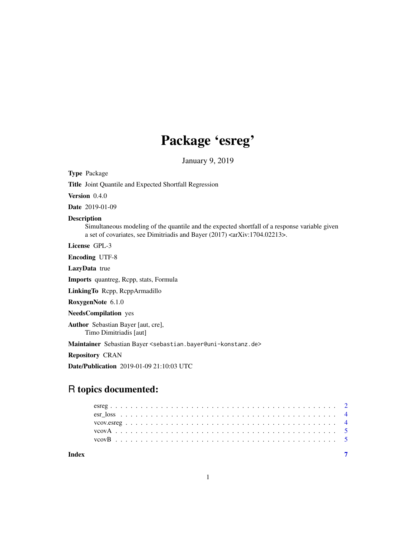# Package 'esreg'

January 9, 2019

<span id="page-0-0"></span>Type Package

Title Joint Quantile and Expected Shortfall Regression

Version 0.4.0

Date 2019-01-09

#### Description

Simultaneous modeling of the quantile and the expected shortfall of a response variable given a set of covariates, see Dimitriadis and Bayer (2017) <arXiv:1704.02213>.

License GPL-3

Encoding UTF-8

LazyData true

Imports quantreg, Rcpp, stats, Formula

LinkingTo Rcpp, RcppArmadillo

RoxygenNote 6.1.0

# NeedsCompilation yes

Author Sebastian Bayer [aut, cre], Timo Dimitriadis [aut]

Maintainer Sebastian Bayer <sebastian.bayer@uni-konstanz.de>

Repository CRAN

Date/Publication 2019-01-09 21:10:03 UTC

# R topics documented:

| Index |  |  |  |  |  |  |  |  |  |  |  |  |  |  |  |  |  |  |  |  |  |  |
|-------|--|--|--|--|--|--|--|--|--|--|--|--|--|--|--|--|--|--|--|--|--|--|
|       |  |  |  |  |  |  |  |  |  |  |  |  |  |  |  |  |  |  |  |  |  |  |
|       |  |  |  |  |  |  |  |  |  |  |  |  |  |  |  |  |  |  |  |  |  |  |
|       |  |  |  |  |  |  |  |  |  |  |  |  |  |  |  |  |  |  |  |  |  |  |
|       |  |  |  |  |  |  |  |  |  |  |  |  |  |  |  |  |  |  |  |  |  |  |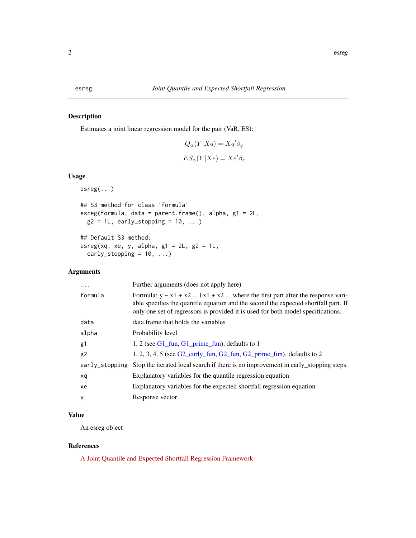# <span id="page-1-0"></span>Description

Estimates a joint linear regression model for the pair (VaR, ES):

$$
Q_{\alpha}(Y|Xq) = Xq'\beta_q
$$
  

$$
ES_{\alpha}(Y|Xe) = Xe'\beta_e
$$

# Usage

```
esreg(...)
## S3 method for class 'formula'
esreg(formula, data = parent.frame(), alpha, g1 = 2L,
 g2 = 1L, early_stopping = 10, ...)
## Default S3 method:
esreg(xq, xe, y, alpha, g1 = 2L, g2 = 1L,
  early_stopping = 10, ...)
```
# Arguments

| Further arguments (does not apply here)                                                                                                                                                                                                                       |
|---------------------------------------------------------------------------------------------------------------------------------------------------------------------------------------------------------------------------------------------------------------|
| Formula: $y \sim x1 + x2$ $ x1 + x2$ where the first part after the response vari-<br>able specifies the quantile equation and the second the expected shortfall part. If<br>only one set of regressors is provided it is used for both model specifications. |
| data. frame that holds the variables                                                                                                                                                                                                                          |
| Probability level                                                                                                                                                                                                                                             |
| 1, 2 (see $G1$ fun, $G1$ prime fun), defaults to 1                                                                                                                                                                                                            |
| $1, 2, 3, 4, 5$ (see G2_curly_fun, G2_fun, G2_prime_fun). defaults to 2                                                                                                                                                                                       |
| early_stopping Stop the iterated local search if there is no improvement in early_stopping steps.                                                                                                                                                             |
| Explanatory variables for the quantile regression equation                                                                                                                                                                                                    |
| Explanatory variables for the expected shortfall regression equation                                                                                                                                                                                          |
| Response vector                                                                                                                                                                                                                                               |
|                                                                                                                                                                                                                                                               |

# Value

An esreg object

# References

[A Joint Quantile and Expected Shortfall Regression Framework](https://arxiv.org/abs/1704.02213)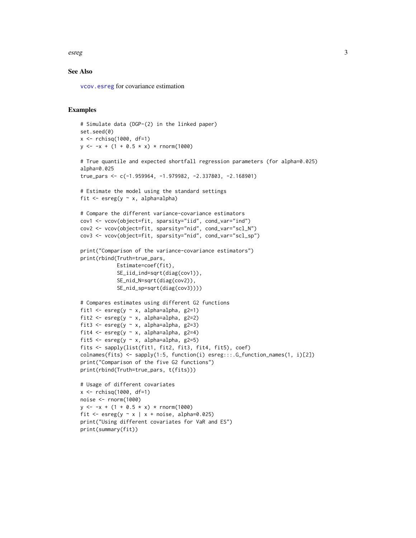<span id="page-2-0"></span>esreg 3

# See Also

[vcov.esreg](#page-3-1) for covariance estimation

### Examples

```
# Simulate data (DGP-(2) in the linked paper)
set.seed(0)
x <- rchisq(1000, df=1)
y \le -x + (1 + 0.5 \times x) \times \text{norm}(1000)# True quantile and expected shortfall regression parameters (for alpha=0.025)
alpha=0.025
true_pars <- c(-1.959964, -1.979982, -2.337803, -2.168901)
# Estimate the model using the standard settings
fit \leq esreg(y \sim x, alpha=alpha)
# Compare the different variance-covariance estimators
cov1 <- vcov(object=fit, sparsity="iid", cond_var="ind")
cov2 <- vcov(object=fit, sparsity="nid", cond_var="scl_N")
cov3 <- vcov(object=fit, sparsity="nid", cond_var="scl_sp")
print("Comparison of the variance-covariance estimators")
print(rbind(Truth=true_pars,
            Estimate=coef(fit),
            SE_iid_ind=sqrt(diag(cov1)),
            SE_nid_N=sqrt(diag(cov2)),
            SE_nid_sp=sqrt(diag(cov3))))
# Compares estimates using different G2 functions
fit1 <- esreg(y \sim x, alpha=alpha, g2=1)
fit2 <- esreg(y \sim x, alpha=alpha, g2=2)
fit3 <- esreg(y \sim x, alpha=alpha, g2=3)
fit4 <- esreg(y \sim x, alpha=alpha, g2=4)
fit5 <- esreg(y \sim x, alpha=alpha, g2=5)
fits <- sapply(list(fit1, fit2, fit3, fit4, fit5), coef)
colnames(fits) <- sapply(1:5, function(i) esreg:::.G_function_names(1, i)[2])
print("Comparison of the five G2 functions")
print(rbind(Truth=true_pars, t(fits)))
# Usage of different covariates
x \le - rchisq(1000, df=1)
noise <- rnorm(1000)
y \le -x + (1 + 0.5 \times x) \times \text{norm}(1000)fit \leq esreg(y \leq x | x + noise, alpha=0.025)
print("Using different covariates for VaR and ES")
```

```
print(summary(fit))
```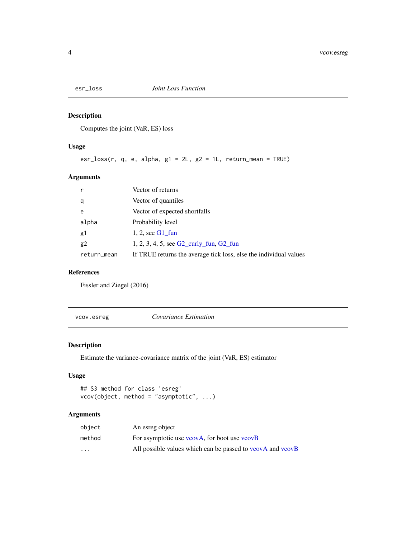<span id="page-3-0"></span>

# Description

Computes the joint (VaR, ES) loss

# Usage

esr\_loss(r, q, e, alpha, g1 = 2L, g2 = 1L, return\_mean = TRUE)

# Arguments

| r              | Vector of returns                                                 |
|----------------|-------------------------------------------------------------------|
| q              | Vector of quantiles                                               |
| e              | Vector of expected shortfalls                                     |
| alpha          | Probability level                                                 |
| g1             | 1, 2, see $G1$ fun                                                |
| g <sub>2</sub> | 1, 2, 3, 4, 5, see $G2$ _curly_fun, $G2$ _fun                     |
| return_mean    | If TRUE returns the average tick loss, else the individual values |

### References

Fissler and Ziegel (2016)

<span id="page-3-1"></span>vcov.esreg *Covariance Estimation*

# Description

Estimate the variance-covariance matrix of the joint (VaR, ES) estimator

# Usage

```
## S3 method for class 'esreg'
vcov(object, method = "asymptotic", ...)
```
# Arguments

| object   | An esreg object                                                  |
|----------|------------------------------------------------------------------|
| method   | For asymptotic use $v\text{cov}$ A, for boot use $v\text{cov}$ B |
| $\cdots$ | All possible values which can be passed to vcovA and vcovB       |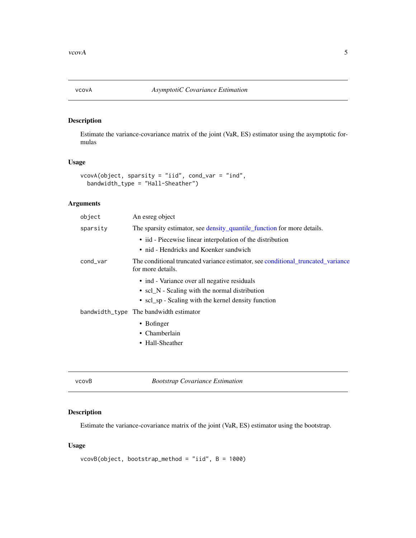<span id="page-4-1"></span><span id="page-4-0"></span>

# Description

Estimate the variance-covariance matrix of the joint (VaR, ES) estimator using the asymptotic formulas

# Usage

```
vcovA(object, sparsity = "iid", cond_var = "ind",
 bandwidth_type = "Hall-Sheather")
```
# Arguments

| object   | An esreg object                                                                                       |
|----------|-------------------------------------------------------------------------------------------------------|
| sparsity | The sparsity estimator, see density_quantile_function for more details.                               |
|          | • iid - Piecewise linear interpolation of the distribution                                            |
|          | • nid - Hendricks and Koenker sandwich                                                                |
| cond_var | The conditional truncated variance estimator, see conditional truncated variance<br>for more details. |
|          | • ind - Variance over all negative residuals                                                          |
|          | • scl_N - Scaling with the normal distribution                                                        |
|          | • scl_sp - Scaling with the kernel density function                                                   |
|          | bandwidth_type The bandwidth estimator                                                                |
|          | $\bullet$ Bofinger                                                                                    |
|          | • Chamberlain                                                                                         |
|          | • Hall-Sheather                                                                                       |
|          |                                                                                                       |

<span id="page-4-2"></span>vcovB *Bootstrap Covariance Estimation*

# Description

Estimate the variance-covariance matrix of the joint (VaR, ES) estimator using the bootstrap.

# Usage

```
vcovB(object, bootstrap_method = "iid", B = 1000)
```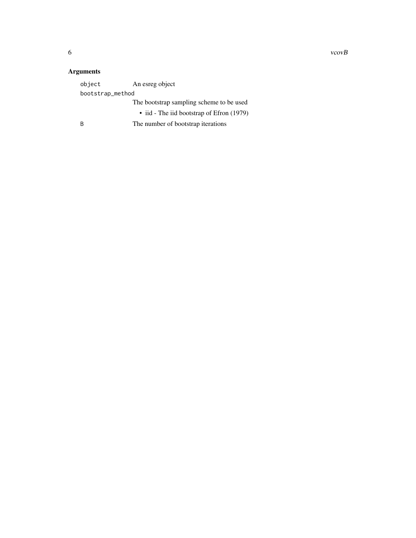$\sim$  6 vcovB

# Arguments

| object           | An esreg object                           |
|------------------|-------------------------------------------|
| bootstrap_method |                                           |
|                  | The bootstrap sampling scheme to be used  |
|                  | • iid - The iid bootstrap of Efron (1979) |
| R                | The number of bootstrap iterations        |